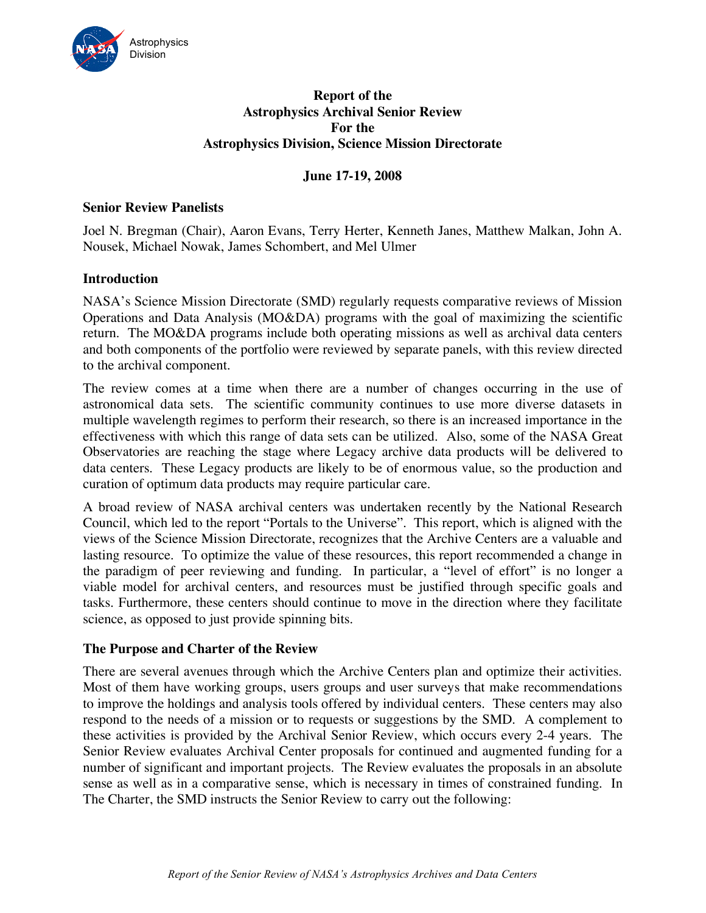

# **Report of the Astrophysics Archival Senior Review Astrophysics Division, Science Mission Directorate For the**

# **June 17-19, 2008**

# **Senior Review Panelists**

 Joel N. Bregman (Chair), Aaron Evans, Terry Herter, Kenneth Janes, Matthew Malkan, John A. Nousek, Michael Nowak, James Schombert, and Mel Ulmer

### **Introduction**

 NASA's Science Mission Directorate (SMD) regularly requests comparative reviews of Mission Operations and Data Analysis (MO&DA) programs with the goal of maximizing the scientific return. The MO&DA programs include both operating missions as well as archival data centers and both components of the portfolio were reviewed by separate panels, with this review directed to the archival component.

 The review comes at a time when there are a number of changes occurring in the use of astronomical data sets. The scientific community continues to use more diverse datasets in multiple wavelength regimes to perform their research, so there is an increased importance in the effectiveness with which this range of data sets can be utilized. Also, some of the NASA Great Observatories are reaching the stage where Legacy archive data products will be delivered to data centers. These Legacy products are likely to be of enormous value, so the production and curation of optimum data products may require particular care.

 A broad review of NASA archival centers was undertaken recently by the National Research Council, which led to the report "Portals to the Universe". This report, which is aligned with the views of the Science Mission Directorate, recognizes that the Archive Centers are a valuable and lasting resource. To optimize the value of these resources, this report recommended a change in the paradigm of peer reviewing and funding. In particular, a "level of effort" is no longer a viable model for archival centers, and resources must be justified through specific goals and tasks. Furthermore, these centers should continue to move in the direction where they facilitate science, as opposed to just provide spinning bits.

### **The Purpose and Charter of the Review**

 There are several avenues through which the Archive Centers plan and optimize their activities. Most of them have working groups, users groups and user surveys that make recommendations to improve the holdings and analysis tools offered by individual centers. These centers may also respond to the needs of a mission or to requests or suggestions by the SMD. A complement to these activities is provided by the Archival Senior Review, which occurs every 2-4 years. The Senior Review evaluates Archival Center proposals for continued and augmented funding for a number of significant and important projects. The Review evaluates the proposals in an absolute sense as well as in a comparative sense, which is necessary in times of constrained funding. In The Charter, the SMD instructs the Senior Review to carry out the following: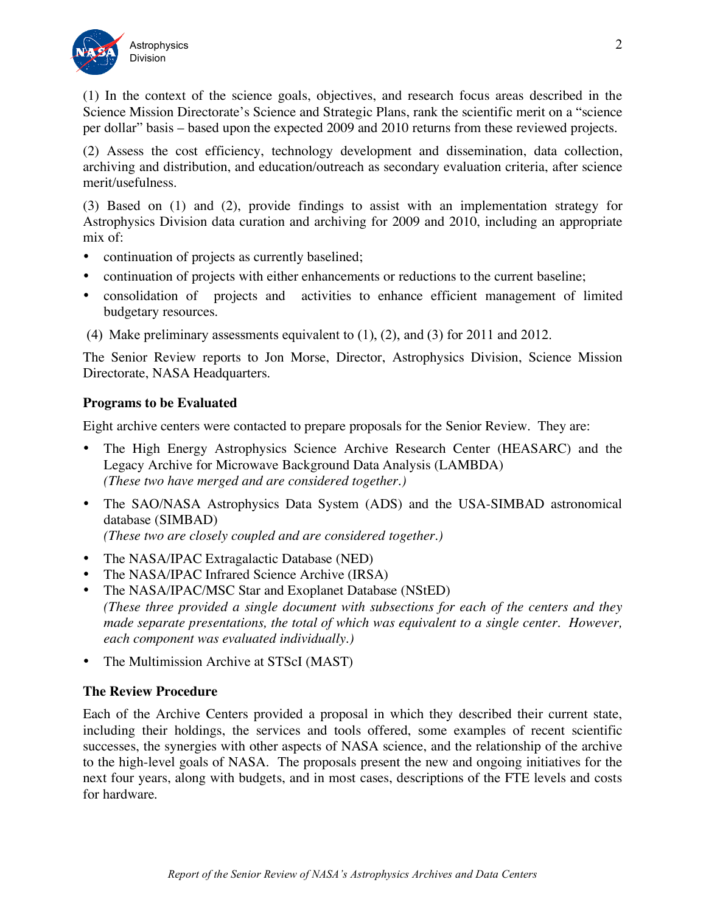

 (1) In the context of the science goals, objectives, and research focus areas described in the Science Mission Directorate's Science and Strategic Plans, rank the scientific merit on a "science per dollar" basis – based upon the expected 2009 and 2010 returns from these reviewed projects.

 (2) Assess the cost efficiency, technology development and dissemination, data collection, archiving and distribution, and education/outreach as secondary evaluation criteria, after science merit/usefulness.

 (3) Based on (1) and (2), provide findings to assist with an implementation strategy for Astrophysics Division data curation and archiving for 2009 and 2010, including an appropriate mix of:

- • continuation of projects as currently baselined;
- continuation of projects with either enhancements or reductions to the current baseline;
- • consolidation of projects and activities to enhance efficient management of limited budgetary resources.
- (4) Make preliminary assessments equivalent to  $(1)$ ,  $(2)$ , and  $(3)$  for 2011 and 2012.

 The Senior Review reports to Jon Morse, Director, Astrophysics Division, Science Mission Directorate, NASA Headquarters.

# **Programs to be Evaluated**

Eight archive centers were contacted to prepare proposals for the Senior Review. They are:

- • The High Energy Astrophysics Science Archive Research Center (HEASARC) and the Legacy Archive for Microwave Background Data Analysis (LAMBDA)  *(These two have merged and are considered together.)*
- The SAO/NASA Astrophysics Data System (ADS) and the USA-SIMBAD astronomical  *(These two are closely coupled and are considered together.)*  database (SIMBAD)
- The NASA/IPAC Extragalactic Database (NED)
- The NASA/IPAC Infrared Science Archive (IRSA)
- The NASA/IPAC/MSC Star and Exoplanet Database (NStED)  *(These three provided a single document with subsections for each of the centers and they* made separate presentations, the total of which was equivalent to a single center. However,  *each component was evaluated individually.)*
- The Multimission Archive at STScI (MAST)

# **The Review Procedure**

 Each of the Archive Centers provided a proposal in which they described their current state, including their holdings, the services and tools offered, some examples of recent scientific successes, the synergies with other aspects of NASA science, and the relationship of the archive to the high-level goals of NASA. The proposals present the new and ongoing initiatives for the next four years, along with budgets, and in most cases, descriptions of the FTE levels and costs for hardware.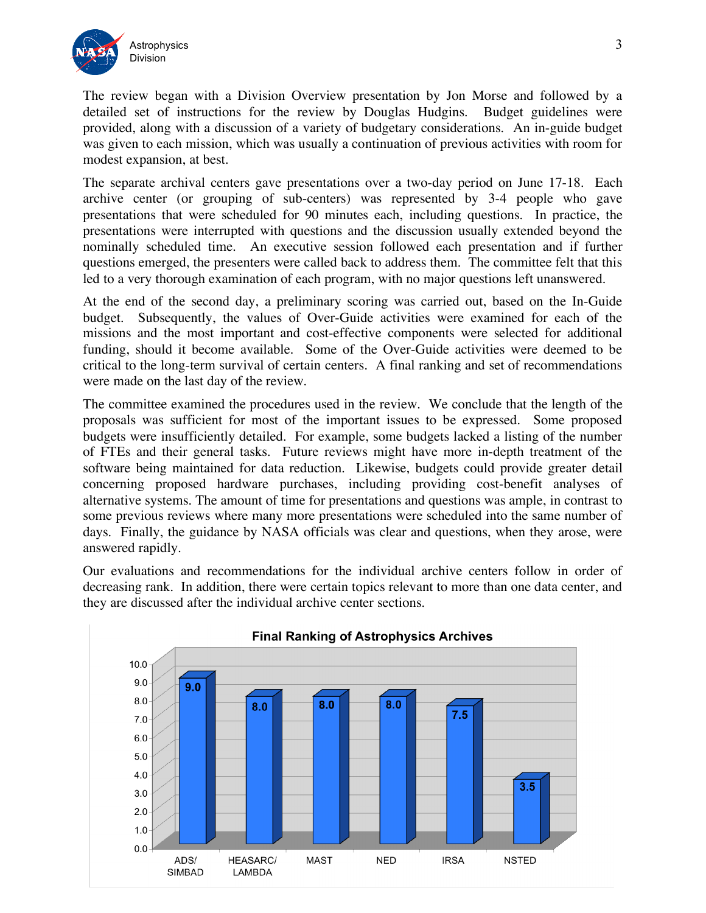

 The review began with a Division Overview presentation by Jon Morse and followed by a detailed set of instructions for the review by Douglas Hudgins. Budget guidelines were provided, along with a discussion of a variety of budgetary considerations. An in-guide budget was given to each mission, which was usually a continuation of previous activities with room for modest expansion, at best.

 The separate archival centers gave presentations over a two-day period on June 17-18. Each archive center (or grouping of sub-centers) was represented by 3-4 people who gave presentations that were scheduled for 90 minutes each, including questions. In practice, the presentations were interrupted with questions and the discussion usually extended beyond the nominally scheduled time. An executive session followed each presentation and if further questions emerged, the presenters were called back to address them. The committee felt that this led to a very thorough examination of each program, with no major questions left unanswered.

 At the end of the second day, a preliminary scoring was carried out, based on the In-Guide budget. Subsequently, the values of Over-Guide activities were examined for each of the missions and the most important and cost-effective components were selected for additional funding, should it become available. Some of the Over-Guide activities were deemed to be critical to the long-term survival of certain centers. A final ranking and set of recommendations were made on the last day of the review.

 The committee examined the procedures used in the review. We conclude that the length of the proposals was sufficient for most of the important issues to be expressed. Some proposed budgets were insufficiently detailed. For example, some budgets lacked a listing of the number of FTEs and their general tasks. Future reviews might have more in-depth treatment of the software being maintained for data reduction. Likewise, budgets could provide greater detail concerning proposed hardware purchases, including providing cost-benefit analyses of alternative systems. The amount of time for presentations and questions was ample, in contrast to some previous reviews where many more presentations were scheduled into the same number of days. Finally, the guidance by NASA officials was clear and questions, when they arose, were answered rapidly.

 Our evaluations and recommendations for the individual archive centers follow in order of decreasing rank. In addition, there were certain topics relevant to more than one data center, and they are discussed after the individual archive center sections.

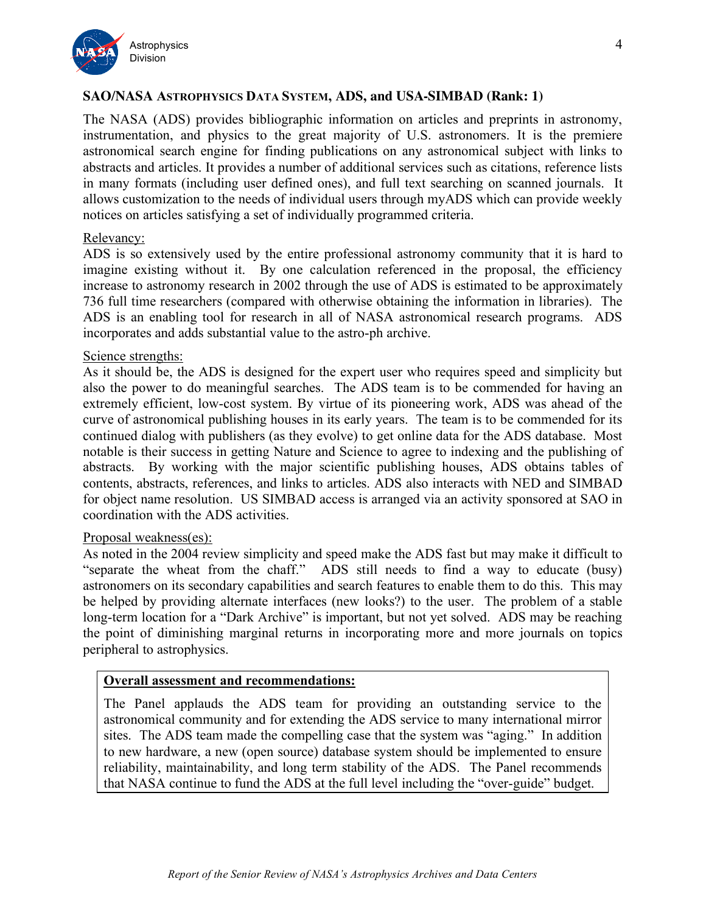

# **SAO/NASA ASTROPHYSICS DATA SYSTEM, ADS, and USA-SIMBAD (Rank: 1)**

 The NASA (ADS) provides bibliographic information on articles and preprints in astronomy, instrumentation, and physics to the great majority of U.S. astronomers. It is the premiere astronomical search engine for finding publications on any astronomical subject with links to abstracts and articles. It provides a number of additional services such as citations, reference lists in many formats (including user defined ones), and full text searching on scanned journals. It allows customization to the needs of individual users through myADS which can provide weekly notices on articles satisfying a set of individually programmed criteria.

### Relevancy:

 ADS is so extensively used by the entire professional astronomy community that it is hard to imagine existing without it. By one calculation referenced in the proposal, the efficiency increase to astronomy research in 2002 through the use of ADS is estimated to be approximately 736 full time researchers (compared with otherwise obtaining the information in libraries). The ADS is an enabling tool for research in all of NASA astronomical research programs. ADS incorporates and adds substantial value to the astro-ph archive.

### Science strengths:

 As it should be, the ADS is designed for the expert user who requires speed and simplicity but also the power to do meaningful searches. The ADS team is to be commended for having an extremely efficient, low-cost system. By virtue of its pioneering work, ADS was ahead of the curve of astronomical publishing houses in its early years. The team is to be commended for its continued dialog with publishers (as they evolve) to get online data for the ADS database. Most notable is their success in getting Nature and Science to agree to indexing and the publishing of abstracts. By working with the major scientific publishing houses, ADS obtains tables of contents, abstracts, references, and links to articles. ADS also interacts with NED and SIMBAD for object name resolution. US SIMBAD access is arranged via an activity sponsored at SAO in coordination with the ADS activities.

### Proposal weakness(es):

 As noted in the 2004 review simplicity and speed make the ADS fast but may make it difficult to "separate the wheat from the chaff." ADS still needs to find a way to educate (busy) astronomers on its secondary capabilities and search features to enable them to do this. This may be helped by providing alternate interfaces (new looks?) to the user. The problem of a stable long-term location for a "Dark Archive" is important, but not yet solved. ADS may be reaching the point of diminishing marginal returns in incorporating more and more journals on topics peripheral to astrophysics.

### **Overall assessment and recommendations:**

 The Panel applauds the ADS team for providing an outstanding service to the astronomical community and for extending the ADS service to many international mirror sites. The ADS team made the compelling case that the system was "aging." In addition to new hardware, a new (open source) database system should be implemented to ensure reliability, maintainability, and long term stability of the ADS. The Panel recommends that NASA continue to fund the ADS at the full level including the "over-guide" budget.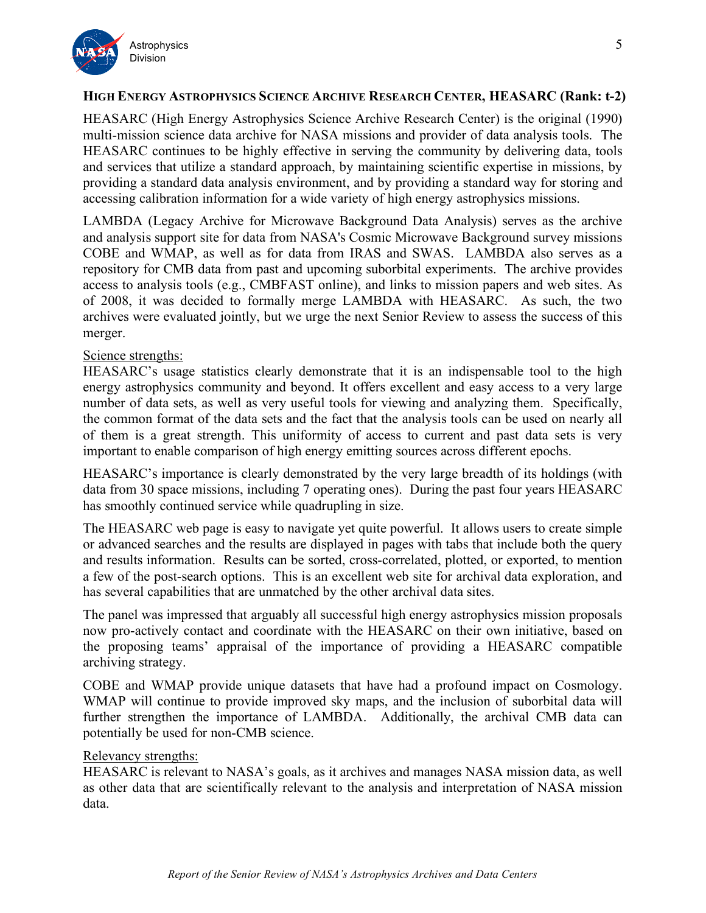

# **HIGH ENERGY ASTROPHYSICS SCIENCE ARCHIVE RESEARCH CENTER, HEASARC (Rank: t-2)**

 HEASARC (High Energy Astrophysics Science Archive Research Center) is the original (1990) multi-mission science data archive for NASA missions and provider of data analysis tools. The HEASARC continues to be highly effective in serving the community by delivering data, tools and services that utilize a standard approach, by maintaining scientific expertise in missions, by providing a standard data analysis environment, and by providing a standard way for storing and accessing calibration information for a wide variety of high energy astrophysics missions.

 LAMBDA (Legacy Archive for Microwave Background Data Analysis) serves as the archive and analysis support site for data from NASA's Cosmic Microwave Background survey missions COBE and WMAP, as well as for data from IRAS and SWAS. LAMBDA also serves as a repository for CMB data from past and upcoming suborbital experiments. The archive provides access to analysis tools (e.g., CMBFAST online), and links to mission papers and web sites. As of 2008, it was decided to formally merge LAMBDA with HEASARC. As such, the two archives were evaluated jointly, but we urge the next Senior Review to assess the success of this merger.

## Science strengths:

 HEASARC's usage statistics clearly demonstrate that it is an indispensable tool to the high energy astrophysics community and beyond. It offers excellent and easy access to a very large number of data sets, as well as very useful tools for viewing and analyzing them. Specifically, the common format of the data sets and the fact that the analysis tools can be used on nearly all of them is a great strength. This uniformity of access to current and past data sets is very important to enable comparison of high energy emitting sources across different epochs.

 HEASARC's importance is clearly demonstrated by the very large breadth of its holdings (with data from 30 space missions, including 7 operating ones). During the past four years HEASARC has smoothly continued service while quadrupling in size.

 The HEASARC web page is easy to navigate yet quite powerful. It allows users to create simple or advanced searches and the results are displayed in pages with tabs that include both the query and results information. Results can be sorted, cross-correlated, plotted, or exported, to mention a few of the post-search options. This is an excellent web site for archival data exploration, and has several capabilities that are unmatched by the other archival data sites.

 The panel was impressed that arguably all successful high energy astrophysics mission proposals now pro-actively contact and coordinate with the HEASARC on their own initiative, based on the proposing teams' appraisal of the importance of providing a HEASARC compatible archiving strategy.

 COBE and WMAP provide unique datasets that have had a profound impact on Cosmology. WMAP will continue to provide improved sky maps, and the inclusion of suborbital data will further strengthen the importance of LAMBDA. Additionally, the archival CMB data can potentially be used for non-CMB science.

### Relevancy strengths:

 HEASARC is relevant to NASA's goals, as it archives and manages NASA mission data, as well as other data that are scientifically relevant to the analysis and interpretation of NASA mission data.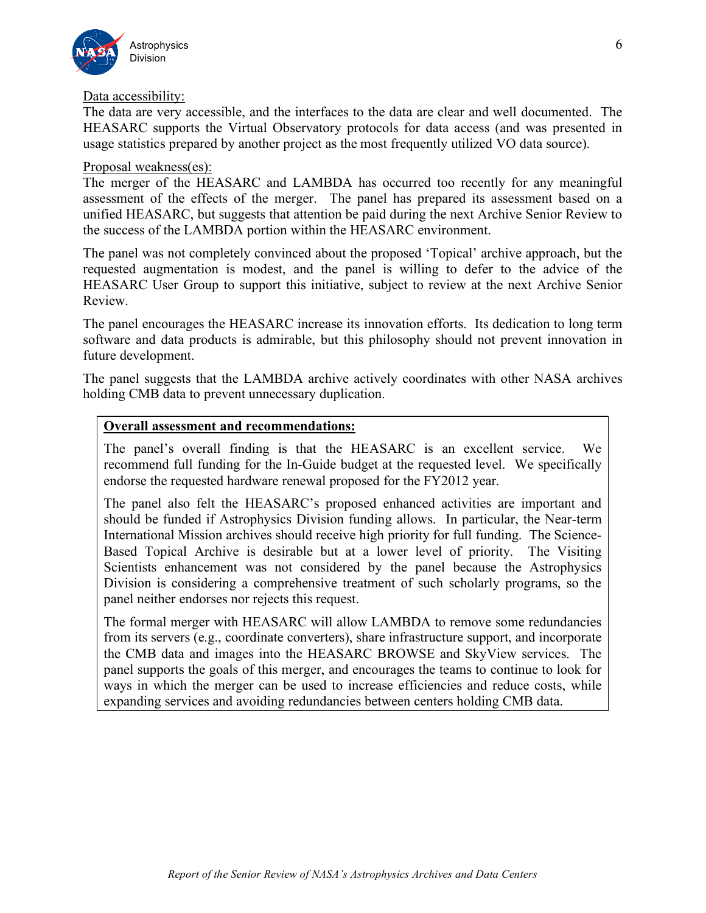

### Data accessibility:

 The data are very accessible, and the interfaces to the data are clear and well documented. The HEASARC supports the Virtual Observatory protocols for data access (and was presented in usage statistics prepared by another project as the most frequently utilized VO data source).

### Proposal weakness(es):

 The merger of the HEASARC and LAMBDA has occurred too recently for any meaningful assessment of the effects of the merger. The panel has prepared its assessment based on a unified HEASARC, but suggests that attention be paid during the next Archive Senior Review to the success of the LAMBDA portion within the HEASARC environment.

 The panel was not completely convinced about the proposed 'Topical' archive approach, but the requested augmentation is modest, and the panel is willing to defer to the advice of the HEASARC User Group to support this initiative, subject to review at the next Archive Senior Review.

 The panel encourages the HEASARC increase its innovation efforts. Its dedication to long term software and data products is admirable, but this philosophy should not prevent innovation in future development.

 The panel suggests that the LAMBDA archive actively coordinates with other NASA archives holding CMB data to prevent unnecessary duplication.

### **Overall assessment and recommendations:**

 The panel's overall finding is that the HEASARC is an excellent service. We recommend full funding for the In-Guide budget at the requested level. We specifically endorse the requested hardware renewal proposed for the FY2012 year.

 The panel also felt the HEASARC's proposed enhanced activities are important and should be funded if Astrophysics Division funding allows. In particular, the Near-term International Mission archives should receive high priority for full funding. The Science- Based Topical Archive is desirable but at a lower level of priority. The Visiting Scientists enhancement was not considered by the panel because the Astrophysics Division is considering a comprehensive treatment of such scholarly programs, so the panel neither endorses nor rejects this request.

 The formal merger with HEASARC will allow LAMBDA to remove some redundancies from its servers (e.g., coordinate converters), share infrastructure support, and incorporate the CMB data and images into the HEASARC BROWSE and SkyView services. The panel supports the goals of this merger, and encourages the teams to continue to look for ways in which the merger can be used to increase efficiencies and reduce costs, while expanding services and avoiding redundancies between centers holding CMB data.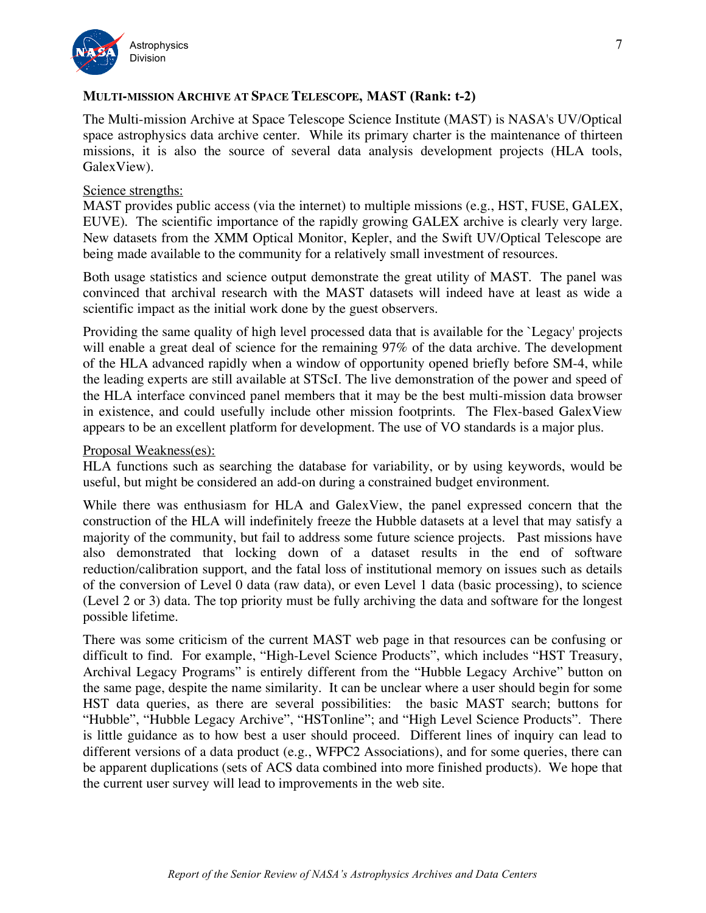

# **MULTI-MISSION ARCHIVE AT SPACE TELESCOPE, MAST (Rank: t-2)**

 The Multi-mission Archive at Space Telescope Science Institute (MAST) is NASA's UV/Optical space astrophysics data archive center. While its primary charter is the maintenance of thirteen missions, it is also the source of several data analysis development projects (HLA tools, GalexView).

### Science strengths:

 MAST provides public access (via the internet) to multiple missions (e.g., HST, FUSE, GALEX, EUVE). The scientific importance of the rapidly growing GALEX archive is clearly very large. New datasets from the XMM Optical Monitor, Kepler, and the Swift UV/Optical Telescope are being made available to the community for a relatively small investment of resources.

 Both usage statistics and science output demonstrate the great utility of MAST. The panel was convinced that archival research with the MAST datasets will indeed have at least as wide a scientific impact as the initial work done by the guest observers.

 Providing the same quality of high level processed data that is available for the `Legacy' projects will enable a great deal of science for the remaining 97% of the data archive. The development of the HLA advanced rapidly when a window of opportunity opened briefly before SM-4, while the leading experts are still available at STScI. The live demonstration of the power and speed of the HLA interface convinced panel members that it may be the best multi-mission data browser in existence, and could usefully include other mission footprints. The Flex-based GalexView appears to be an excellent platform for development. The use of VO standards is a major plus.

### Proposal Weakness(es):

 HLA functions such as searching the database for variability, or by using keywords, would be useful, but might be considered an add-on during a constrained budget environment.

 While there was enthusiasm for HLA and GalexView, the panel expressed concern that the construction of the HLA will indefinitely freeze the Hubble datasets at a level that may satisfy a majority of the community, but fail to address some future science projects. Past missions have also demonstrated that locking down of a dataset results in the end of software reduction/calibration support, and the fatal loss of institutional memory on issues such as details of the conversion of Level 0 data (raw data), or even Level 1 data (basic processing), to science (Level 2 or 3) data. The top priority must be fully archiving the data and software for the longest possible lifetime.

 There was some criticism of the current MAST web page in that resources can be confusing or difficult to find. For example, "High-Level Science Products", which includes "HST Treasury, Archival Legacy Programs" is entirely different from the "Hubble Legacy Archive" button on the same page, despite the name similarity. It can be unclear where a user should begin for some HST data queries, as there are several possibilities: the basic MAST search; buttons for "Hubble", "Hubble Legacy Archive", "HSTonline"; and "High Level Science Products". There is little guidance as to how best a user should proceed. Different lines of inquiry can lead to different versions of a data product (e.g., WFPC2 Associations), and for some queries, there can be apparent duplications (sets of ACS data combined into more finished products). We hope that the current user survey will lead to improvements in the web site.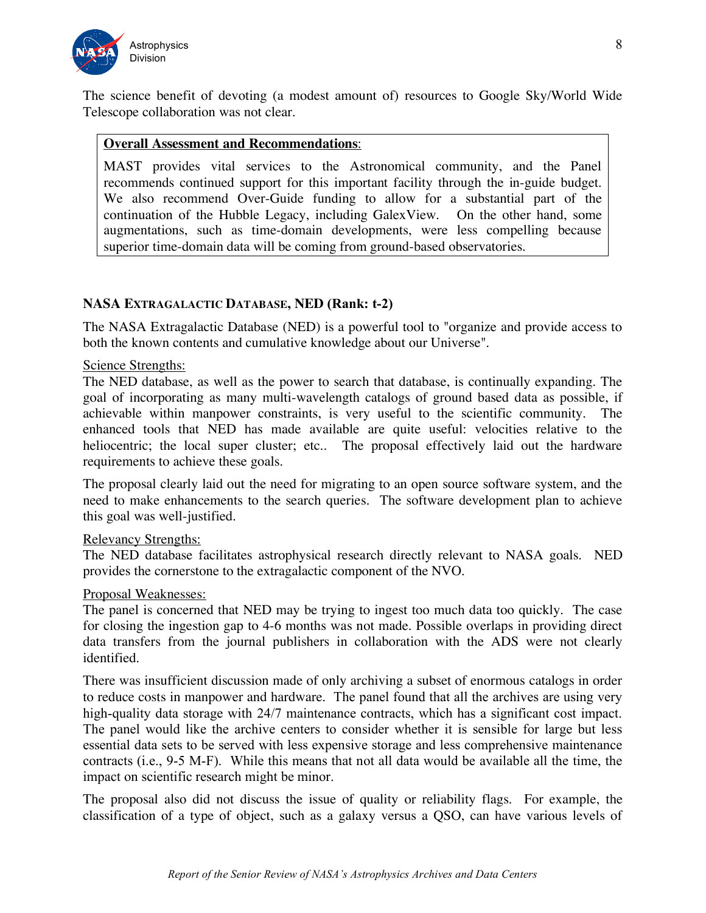

 The science benefit of devoting (a modest amount of) resources to Google Sky/World Wide Telescope collaboration was not clear.

# **Overall Assessment and Recommendations**:

 MAST provides vital services to the Astronomical community, and the Panel recommends continued support for this important facility through the in-guide budget. We also recommend Over-Guide funding to allow for a substantial part of the continuation of the Hubble Legacy, including GalexView. On the other hand, some augmentations, such as time-domain developments, were less compelling because superior time-domain data will be coming from ground-based observatories.

## **NASA EXTRAGALACTIC DATABASE, NED (Rank: t-2)**

 The NASA Extragalactic Database (NED) is a powerful tool to "organize and provide access to both the known contents and cumulative knowledge about our Universe".

### Science Strengths:

 The NED database, as well as the power to search that database, is continually expanding. The goal of incorporating as many multi-wavelength catalogs of ground based data as possible, if achievable within manpower constraints, is very useful to the scientific community. The enhanced tools that NED has made available are quite useful: velocities relative to the heliocentric; the local super cluster; etc.. The proposal effectively laid out the hardware requirements to achieve these goals.

 The proposal clearly laid out the need for migrating to an open source software system, and the need to make enhancements to the search queries. The software development plan to achieve this goal was well-justified.

### Relevancy Strengths:

 The NED database facilitates astrophysical research directly relevant to NASA goals. NED provides the cornerstone to the extragalactic component of the NVO.

#### Proposal Weaknesses:

 The panel is concerned that NED may be trying to ingest too much data too quickly. The case for closing the ingestion gap to 4-6 months was not made. Possible overlaps in providing direct data transfers from the journal publishers in collaboration with the ADS were not clearly identified.

identified.<br>There was insufficient discussion made of only archiving a subset of enormous catalogs in order to reduce costs in manpower and hardware. The panel found that all the archives are using very high-quality data storage with 24/7 maintenance contracts, which has a significant cost impact. The panel would like the archive centers to consider whether it is sensible for large but less essential data sets to be served with less expensive storage and less comprehensive maintenance contracts (i.e., 9-5 M-F). While this means that not all data would be available all the time, the impact on scientific research might be minor.

 The proposal also did not discuss the issue of quality or reliability flags. For example, the classification of a type of object, such as a galaxy versus a QSO, can have various levels of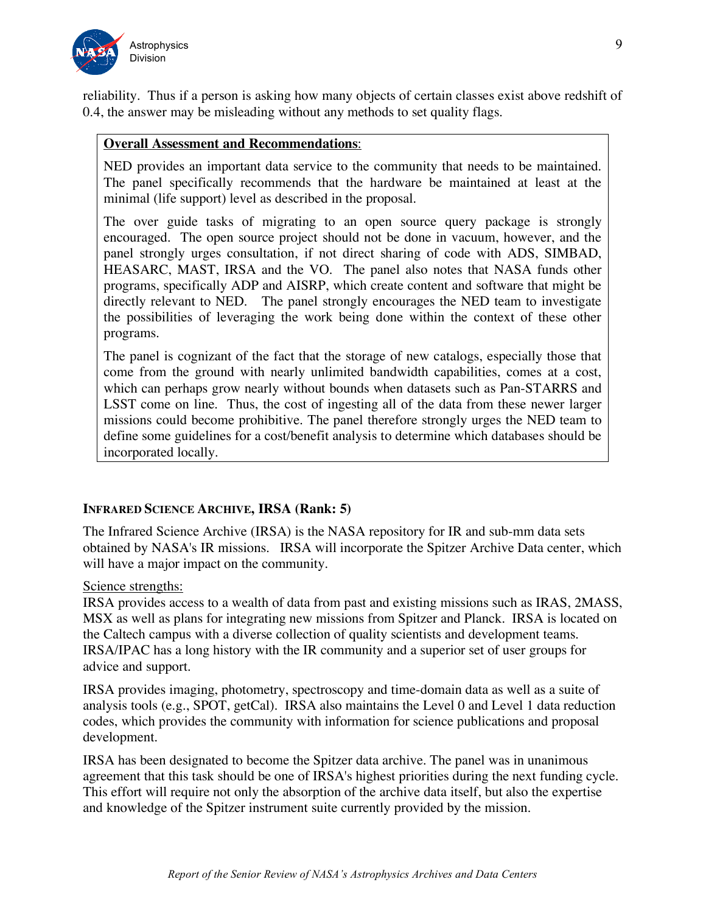

 reliability. Thus if a person is asking how many objects of certain classes exist above redshift of 0.4, the answer may be misleading without any methods to set quality flags.

### **Overall Assessment and Recommendations**:

 NED provides an important data service to the community that needs to be maintained. The panel specifically recommends that the hardware be maintained at least at the minimal (life support) level as described in the proposal.

 The over guide tasks of migrating to an open source query package is strongly encouraged. The open source project should not be done in vacuum, however, and the panel strongly urges consultation, if not direct sharing of code with ADS, SIMBAD, HEASARC, MAST, IRSA and the VO. The panel also notes that NASA funds other programs, specifically ADP and AISRP, which create content and software that might be directly relevant to NED. The panel strongly encourages the NED team to investigate the possibilities of leveraging the work being done within the context of these other programs.

 The panel is cognizant of the fact that the storage of new catalogs, especially those that come from the ground with nearly unlimited bandwidth capabilities, comes at a cost, which can perhaps grow nearly without bounds when datasets such as Pan-STARRS and LSST come on line. Thus, the cost of ingesting all of the data from these newer larger missions could become prohibitive. The panel therefore strongly urges the NED team to define some guidelines for a cost/benefit analysis to determine which databases should be incorporated locally.

### **INFRARED SCIENCE ARCHIVE, IRSA (Rank: 5)**

 The Infrared Science Archive (IRSA) is the NASA repository for IR and sub-mm data sets obtained by NASA's IR missions. IRSA will incorporate the Spitzer Archive Data center, which will have a major impact on the community.

#### Science strengths:

 IRSA provides access to a wealth of data from past and existing missions such as IRAS, 2MASS, MSX as well as plans for integrating new missions from Spitzer and Planck. IRSA is located on the Caltech campus with a diverse collection of quality scientists and development teams. IRSA/IPAC has a long history with the IR community and a superior set of user groups for advice and support.

 IRSA provides imaging, photometry, spectroscopy and time-domain data as well as a suite of analysis tools (e.g., SPOT, getCal). IRSA also maintains the Level 0 and Level 1 data reduction codes, which provides the community with information for science publications and proposal development.

 IRSA has been designated to become the Spitzer data archive. The panel was in unanimous agreement that this task should be one of IRSA's highest priorities during the next funding cycle. This effort will require not only the absorption of the archive data itself, but also the expertise and knowledge of the Spitzer instrument suite currently provided by the mission.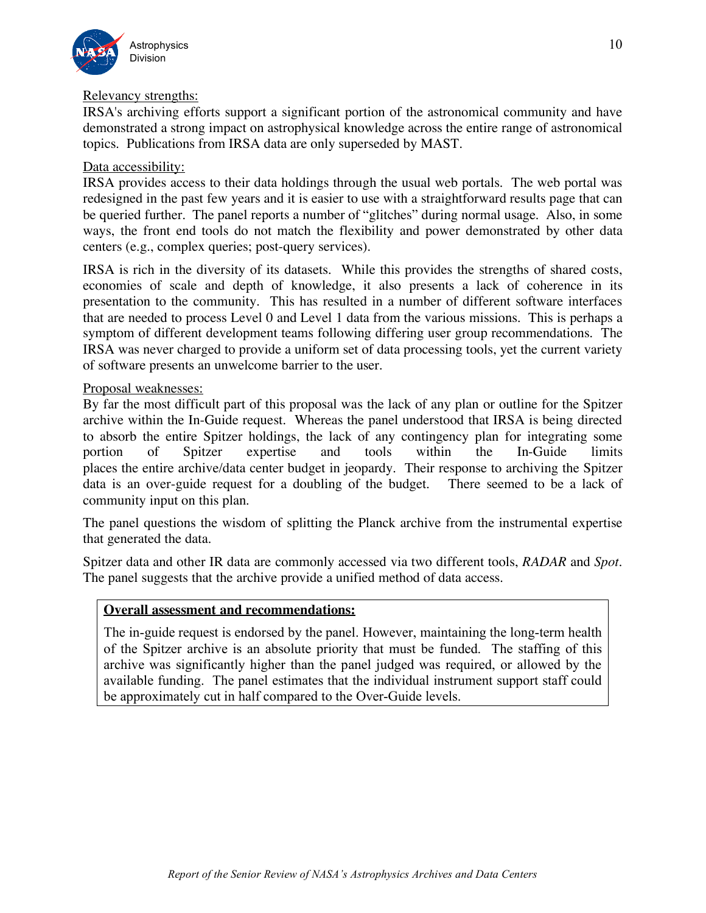

#### Relevancy strengths:

 IRSA's archiving efforts support a significant portion of the astronomical community and have demonstrated a strong impact on astrophysical knowledge across the entire range of astronomical topics. Publications from IRSA data are only superseded by MAST.

## Data accessibility:

 IRSA provides access to their data holdings through the usual web portals. The web portal was redesigned in the past few years and it is easier to use with a straightforward results page that can be queried further. The panel reports a number of "glitches" during normal usage. Also, in some ways, the front end tools do not match the flexibility and power demonstrated by other data centers (e.g., complex queries; post-query services).

 IRSA is rich in the diversity of its datasets. While this provides the strengths of shared costs, economies of scale and depth of knowledge, it also presents a lack of coherence in its presentation to the community. This has resulted in a number of different software interfaces that are needed to process Level 0 and Level 1 data from the various missions. This is perhaps a symptom of different development teams following differing user group recommendations. The IRSA was never charged to provide a uniform set of data processing tools, yet the current variety of software presents an unwelcome barrier to the user.

## Proposal weaknesses:

 By far the most difficult part of this proposal was the lack of any plan or outline for the Spitzer archive within the In-Guide request. Whereas the panel understood that IRSA is being directed to absorb the entire Spitzer holdings, the lack of any contingency plan for integrating some of places the entire archive/data center budget in jeopardy. Their response to archiving the Spitzer data is an over-guide request for a doubling of the budget. There seemed to be a lack of community input on this plan. portion of Spitzer expertise and tools within the In-Guide limits

 The panel questions the wisdom of splitting the Planck archive from the instrumental expertise that generated the data.

 Spitzer data and other IR data are commonly accessed via two different tools, *RADAR* and *Spot*. The panel suggests that the archive provide a unified method of data access.

# **Overall assessment and recommendations:**

 The in-guide request is endorsed by the panel. However, maintaining the long-term health of the Spitzer archive is an absolute priority that must be funded. The staffing of this archive was significantly higher than the panel judged was required, or allowed by the available funding. The panel estimates that the individual instrument support staff could be approximately cut in half compared to the Over-Guide levels.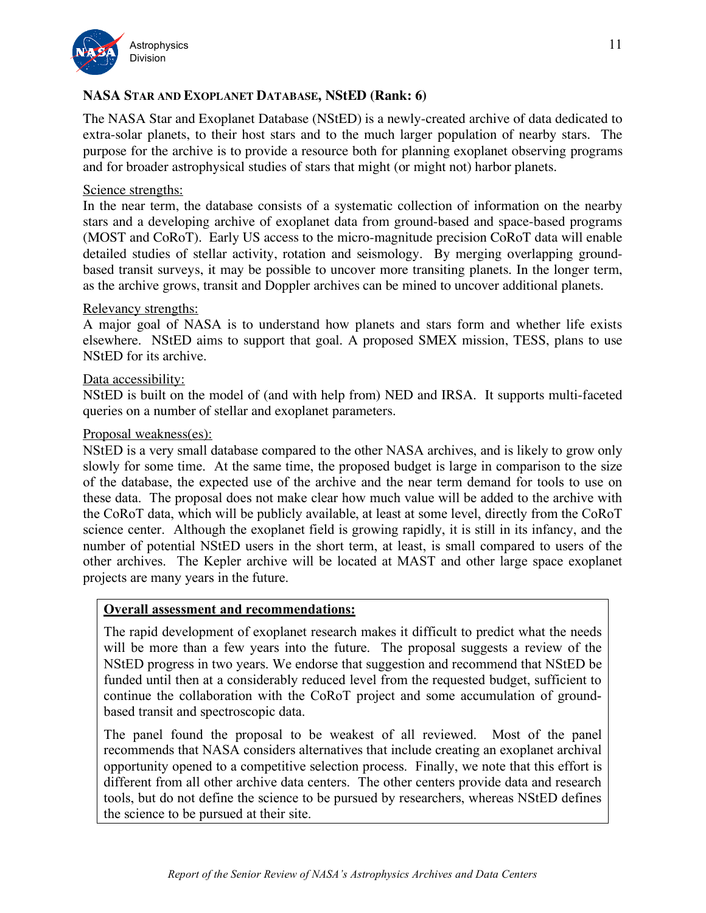

# **NASA STAR AND EXOPLANET DATABASE, NStED (Rank: 6)**

 The NASA Star and Exoplanet Database (NStED) is a newly-created archive of data dedicated to extra-solar planets, to their host stars and to the much larger population of nearby stars. The purpose for the archive is to provide a resource both for planning exoplanet observing programs and for broader astrophysical studies of stars that might (or might not) harbor planets.

#### Science strengths:

 In the near term, the database consists of a systematic collection of information on the nearby stars and a developing archive of exoplanet data from ground-based and space-based programs (MOST and CoRoT). Early US access to the micro-magnitude precision CoRoT data will enable detailed studies of stellar activity, rotation and seismology. By merging overlapping ground- based transit surveys, it may be possible to uncover more transiting planets. In the longer term, as the archive grows, transit and Doppler archives can be mined to uncover additional planets.

#### Relevancy strengths:

 A major goal of NASA is to understand how planets and stars form and whether life exists elsewhere. NStED aims to support that goal. A proposed SMEX mission, TESS, plans to use NStED for its archive.

#### Data accessibility:

 NStED is built on the model of (and with help from) NED and IRSA. It supports multi-faceted queries on a number of stellar and exoplanet parameters.

#### Proposal weakness(es):

 NStED is a very small database compared to the other NASA archives, and is likely to grow only slowly for some time. At the same time, the proposed budget is large in comparison to the size of the database, the expected use of the archive and the near term demand for tools to use on these data. The proposal does not make clear how much value will be added to the archive with the CoRoT data, which will be publicly available, at least at some level, directly from the CoRoT science center. Although the exoplanet field is growing rapidly, it is still in its infancy, and the number of potential NStED users in the short term, at least, is small compared to users of the other archives. The Kepler archive will be located at MAST and other large space exoplanet projects are many years in the future.

#### **Overall assessment and recommendations:**

 The rapid development of exoplanet research makes it difficult to predict what the needs will be more than a few years into the future. The proposal suggests a review of the NStED progress in two years. We endorse that suggestion and recommend that NStED be funded until then at a considerably reduced level from the requested budget, sufficient to continue the collaboration with the CoRoT project and some accumulation of ground-based transit and spectroscopic data.

 The panel found the proposal to be weakest of all reviewed. Most of the panel recommends that NASA considers alternatives that include creating an exoplanet archival opportunity opened to a competitive selection process. Finally, we note that this effort is different from all other archive data centers. The other centers provide data and research tools, but do not define the science to be pursued by researchers, whereas NStED defines the science to be pursued at their site.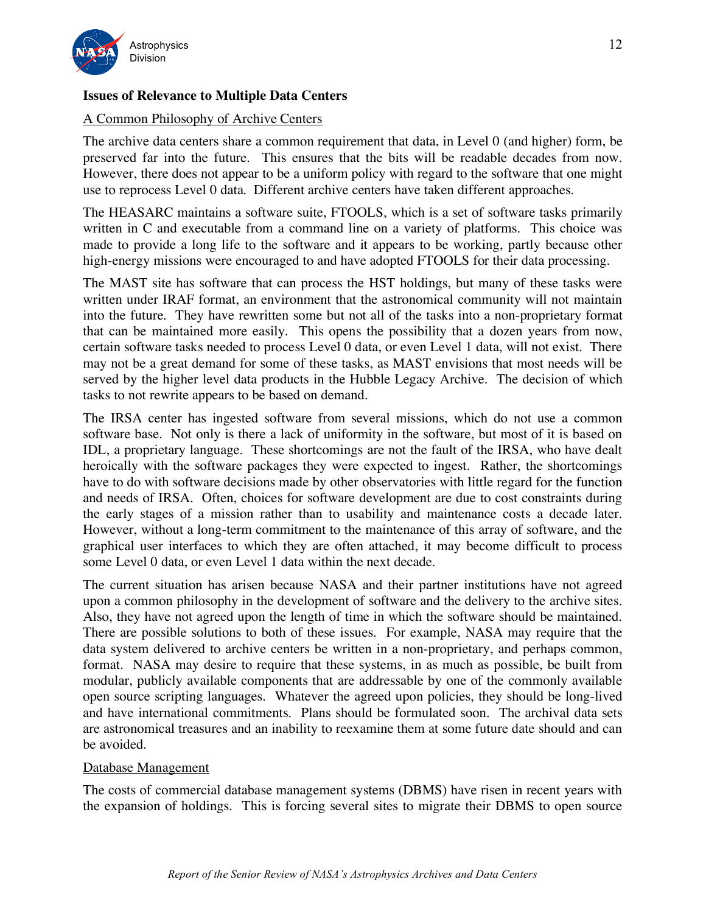

# **Issues of Relevance to Multiple Data Centers**

# A Common Philosophy of Archive Centers

 The archive data centers share a common requirement that data, in Level 0 (and higher) form, be preserved far into the future. This ensures that the bits will be readable decades from now. However, there does not appear to be a uniform policy with regard to the software that one might use to reprocess Level 0 data. Different archive centers have taken different approaches.

 The HEASARC maintains a software suite, FTOOLS, which is a set of software tasks primarily written in C and executable from a command line on a variety of platforms. This choice was made to provide a long life to the software and it appears to be working, partly because other high-energy missions were encouraged to and have adopted FTOOLS for their data processing.

 The MAST site has software that can process the HST holdings, but many of these tasks were written under IRAF format, an environment that the astronomical community will not maintain into the future. They have rewritten some but not all of the tasks into a non-proprietary format that can be maintained more easily. This opens the possibility that a dozen years from now, certain software tasks needed to process Level 0 data, or even Level 1 data, will not exist. There may not be a great demand for some of these tasks, as MAST envisions that most needs will be served by the higher level data products in the Hubble Legacy Archive. The decision of which tasks to not rewrite appears to be based on demand.

 The IRSA center has ingested software from several missions, which do not use a common software base. Not only is there a lack of uniformity in the software, but most of it is based on IDL, a proprietary language. These shortcomings are not the fault of the IRSA, who have dealt heroically with the software packages they were expected to ingest. Rather, the shortcomings have to do with software decisions made by other observatories with little regard for the function and needs of IRSA. Often, choices for software development are due to cost constraints during the early stages of a mission rather than to usability and maintenance costs a decade later. However, without a long-term commitment to the maintenance of this array of software, and the graphical user interfaces to which they are often attached, it may become difficult to process some Level 0 data, or even Level 1 data within the next decade.

 The current situation has arisen because NASA and their partner institutions have not agreed upon a common philosophy in the development of software and the delivery to the archive sites. Also, they have not agreed upon the length of time in which the software should be maintained. There are possible solutions to both of these issues. For example, NASA may require that the data system delivered to archive centers be written in a non-proprietary, and perhaps common, format. NASA may desire to require that these systems, in as much as possible, be built from modular, publicly available components that are addressable by one of the commonly available open source scripting languages. Whatever the agreed upon policies, they should be long-lived and have international commitments. Plans should be formulated soon. The archival data sets are astronomical treasures and an inability to reexamine them at some future date should and can be avoided.

### Database Management

 The costs of commercial database management systems (DBMS) have risen in recent years with the expansion of holdings. This is forcing several sites to migrate their DBMS to open source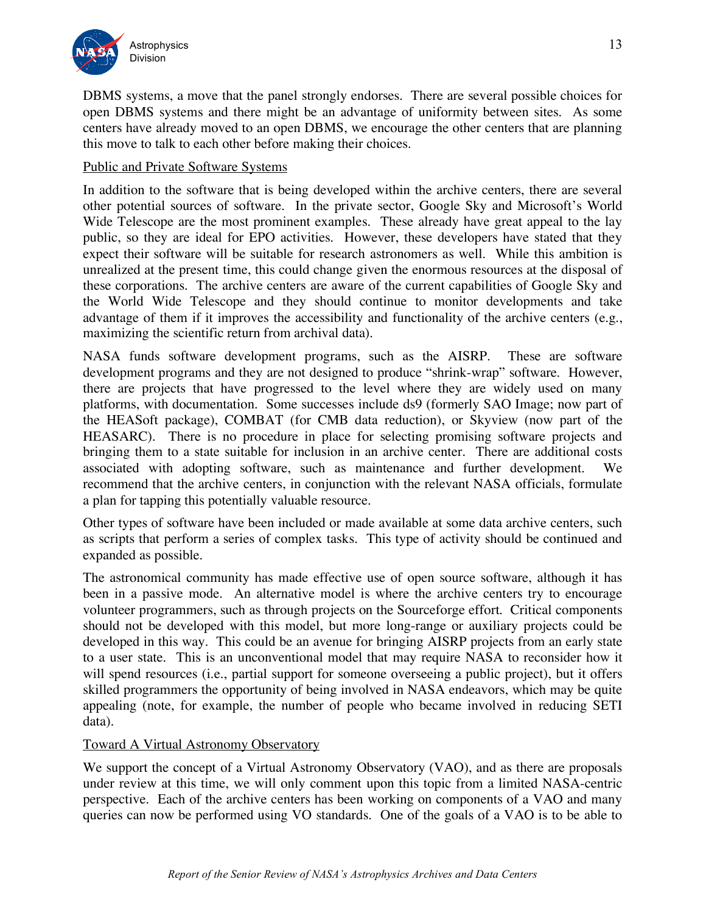

 DBMS systems, a move that the panel strongly endorses. There are several possible choices for open DBMS systems and there might be an advantage of uniformity between sites. As some centers have already moved to an open DBMS, we encourage the other centers that are planning this move to talk to each other before making their choices.

# Public and Private Software Systems

 In addition to the software that is being developed within the archive centers, there are several other potential sources of software. In the private sector, Google Sky and Microsoft's World Wide Telescope are the most prominent examples. These already have great appeal to the lay public, so they are ideal for EPO activities. However, these developers have stated that they expect their software will be suitable for research astronomers as well. While this ambition is unrealized at the present time, this could change given the enormous resources at the disposal of these corporations. The archive centers are aware of the current capabilities of Google Sky and the World Wide Telescope and they should continue to monitor developments and take advantage of them if it improves the accessibility and functionality of the archive centers (e.g., maximizing the scientific return from archival data).

 NASA funds software development programs, such as the AISRP. These are software development programs and they are not designed to produce "shrink-wrap" software. However, there are projects that have progressed to the level where they are widely used on many platforms, with documentation. Some successes include ds9 (formerly SAO Image; now part of the HEASoft package), COMBAT (for CMB data reduction), or Skyview (now part of the HEASARC). There is no procedure in place for selecting promising software projects and bringing them to a state suitable for inclusion in an archive center. There are additional costs associated with adopting software, such as maintenance and further development. We recommend that the archive centers, in conjunction with the relevant NASA officials, formulate a plan for tapping this potentially valuable resource.

 Other types of software have been included or made available at some data archive centers, such as scripts that perform a series of complex tasks. This type of activity should be continued and expanded as possible.

 The astronomical community has made effective use of open source software, although it has been in a passive mode. An alternative model is where the archive centers try to encourage volunteer programmers, such as through projects on the Sourceforge effort. Critical components should not be developed with this model, but more long-range or auxiliary projects could be developed in this way. This could be an avenue for bringing AISRP projects from an early state to a user state. This is an unconventional model that may require NASA to reconsider how it will spend resources (i.e., partial support for someone overseeing a public project), but it offers skilled programmers the opportunity of being involved in NASA endeavors, which may be quite appealing (note, for example, the number of people who became involved in reducing SETI data).

## Toward A Virtual Astronomy Observatory

 We support the concept of a Virtual Astronomy Observatory (VAO), and as there are proposals under review at this time, we will only comment upon this topic from a limited NASA-centric perspective. Each of the archive centers has been working on components of a VAO and many queries can now be performed using VO standards. One of the goals of a VAO is to be able to